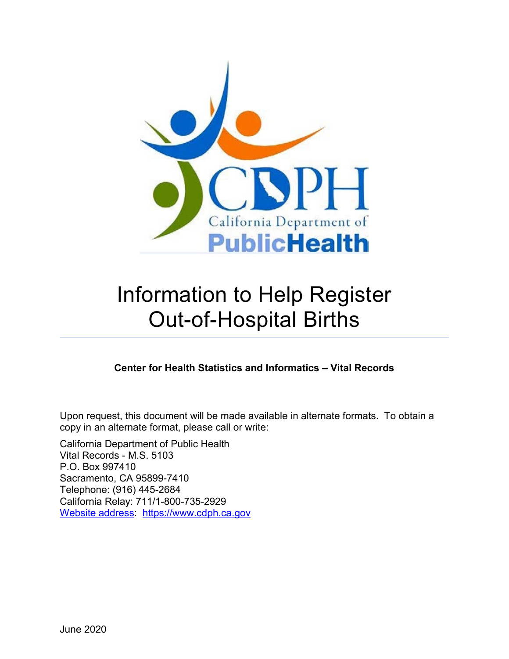

# Information to Help Register Out-of-Hospital Births

## **Center for Health Statistics and Informatics – Vital Records**

Upon request, this document will be made available in alternate formats. To obtain a copy in an alternate format, please call or write:

California Department of Public Health Vital Records - M.S. 5103 P.O. Box 997410 Sacramento, CA 95899-7410 Telephone: (916) 445-2684 California Relay: 711/1-800-735-2929 [Website address:](https://www.cdph.ca.gov/) https://www.cdph.ca.gov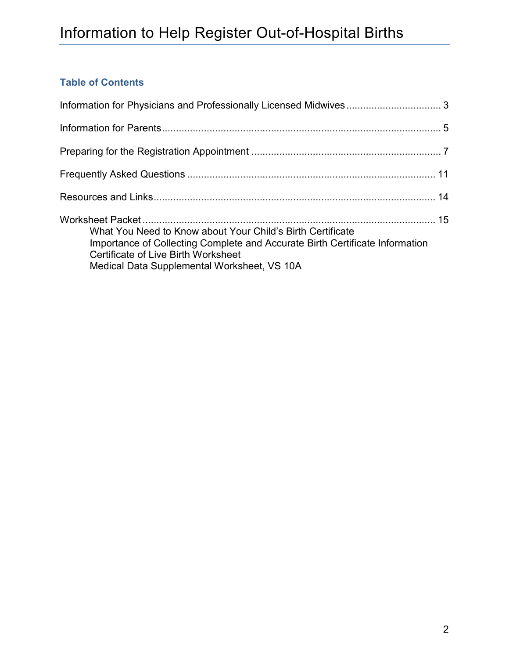## **Table of Contents**

<span id="page-1-0"></span>

| What You Need to Know about Your Child's Birth Certificate<br>Importance of Collecting Complete and Accurate Birth Certificate Information<br>Certificate of Live Birth Worksheet<br>Medical Data Supplemental Worksheet, VS 10A |  |
|----------------------------------------------------------------------------------------------------------------------------------------------------------------------------------------------------------------------------------|--|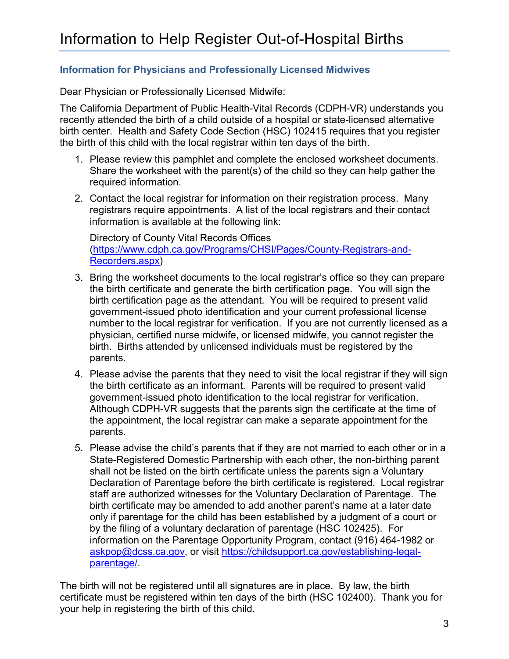## **Information for Physicians and Professionally Licensed Midwives**

Dear Physician or Professionally Licensed Midwife:

The California Department of Public Health-Vital Records (CDPH-VR) understands you recently attended the birth of a child outside of a hospital or state-licensed alternative birth center. Health and Safety Code Section (HSC) 102415 requires that you register the birth of this child with the local registrar within ten days of the birth.

- 1. Please review this pamphlet and complete the enclosed worksheet documents. Share the worksheet with the parent(s) of the child so they can help gather the required information.
- 2. Contact the local registrar for information on their registration process. Many registrars require appointments. A list of the local registrars and their contact information is available at the following link:

Directory of County Vital Records Offices [\(https://www.cdph.ca.gov/Programs/CHSI/Pages/County-Registrars-and-](https://www.cdph.ca.gov/Programs/CHSI/Pages/County-Registrars-and-Recorders.aspx)[Recorders.aspx\)](https://www.cdph.ca.gov/Programs/CHSI/Pages/County-Registrars-and-Recorders.aspx)

- 3. Bring the worksheet documents to the local registrar's office so they can prepare the birth certificate and generate the birth certification page. You will sign the birth certification page as the attendant. You will be required to present valid government-issued photo identification and your current professional license number to the local registrar for verification. If you are not currently licensed as a physician, certified nurse midwife, or licensed midwife, you cannot register the birth. Births attended by unlicensed individuals must be registered by the parents.
- 4. Please advise the parents that they need to visit the local registrar if they will sign the birth certificate as an informant. Parents will be required to present valid government-issued photo identification to the local registrar for verification. Although CDPH-VR suggests that the parents sign the certificate at the time of the appointment, the local registrar can make a separate appointment for the parents.
- 5. Please advise the child's parents that if they are not married to each other or in a State-Registered Domestic Partnership with each other, the non-birthing parent shall not be listed on the birth certificate unless the parents sign a Voluntary Declaration of Parentage before the birth certificate is registered. Local registrar staff are authorized witnesses for the Voluntary Declaration of Parentage. The birth certificate may be amended to add another parent's name at a later date only if parentage for the child has been established by a judgment of a court or by the filing of a voluntary declaration of parentage (HSC 102425). For information on the Parentage Opportunity Program, contact (916) 464-1982 or [askpop@dcss.ca.gov,](mailto:askpop@dcss.ca.gov) or visit [https://childsupport.ca.gov/establishing-legal](https://childsupport.ca.gov/establishing-legal-parentage/)[parentage/.](https://childsupport.ca.gov/establishing-legal-parentage/)

The birth will not be registered until all signatures are in place. By law, the birth certificate must be registered within ten days of the birth (HSC 102400). Thank you for your help in registering the birth of this child.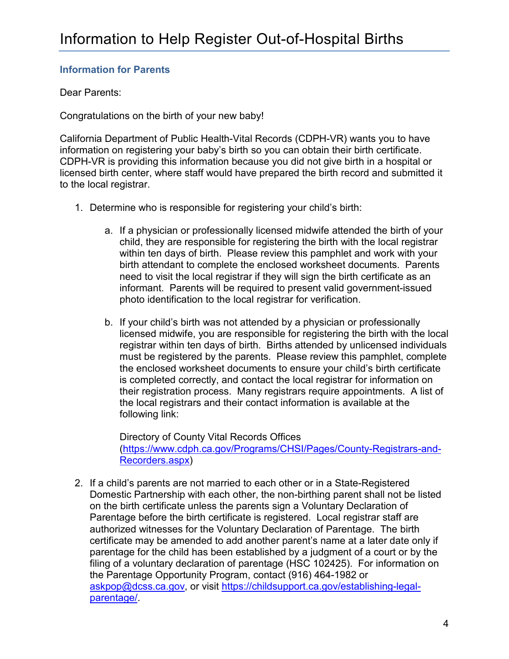## **Information for Parents**

## Dear Parents:

Congratulations on the birth of your new baby!

California Department of Public Health-Vital Records (CDPH-VR) wants you to have information on registering your baby's birth so you can obtain their birth certificate. CDPH-VR is providing this information because you did not give birth in a hospital or licensed birth center, where staff would have prepared the birth record and submitted it to the local registrar.

- 1. Determine who is responsible for registering your child's birth:
	- a. If a physician or professionally licensed midwife attended the birth of your child, they are responsible for registering the birth with the local registrar within ten days of birth. Please review this pamphlet and work with your birth attendant to complete the enclosed worksheet documents. Parents need to visit the local registrar if they will sign the birth certificate as an informant. Parents will be required to present valid government-issued photo identification to the local registrar for verification.
	- b. If your child's birth was not attended by a physician or professionally licensed midwife, you are responsible for registering the birth with the local registrar within ten days of birth. Births attended by unlicensed individuals must be registered by the parents. Please review this pamphlet, complete the enclosed worksheet documents to ensure your child's birth certificate is completed correctly, and contact the local registrar for information on their registration process. Many registrars require appointments. A list of the local registrars and their contact information is available at the following link:

Directory of County Vital Records Offices [\(https://www.cdph.ca.gov/Programs/CHSI/Pages/County-Registrars-and-](https://www.cdph.ca.gov/Programs/CHSI/Pages/County-Registrars-and-Recorders.aspx)[Recorders.aspx\)](https://www.cdph.ca.gov/Programs/CHSI/Pages/County-Registrars-and-Recorders.aspx)

2. If a child's parents are not married to each other or in a State-Registered Domestic Partnership with each other, the non-birthing parent shall not be listed on the birth certificate unless the parents sign a Voluntary Declaration of Parentage before the birth certificate is registered. Local registrar staff are authorized witnesses for the Voluntary Declaration of Parentage. The birth certificate may be amended to add another parent's name at a later date only if parentage for the child has been established by a judgment of a court or by the filing of a voluntary declaration of parentage (HSC 102425). For information on the Parentage Opportunity Program, contact (916) 464-1982 or [askpop@dcss.ca.gov,](mailto:askpop@dcss.ca.gov) or visit [https://childsupport.ca.gov/establishing-legal](https://childsupport.ca.gov/establishing-legal-parentage/)[parentage/.](https://childsupport.ca.gov/establishing-legal-parentage/)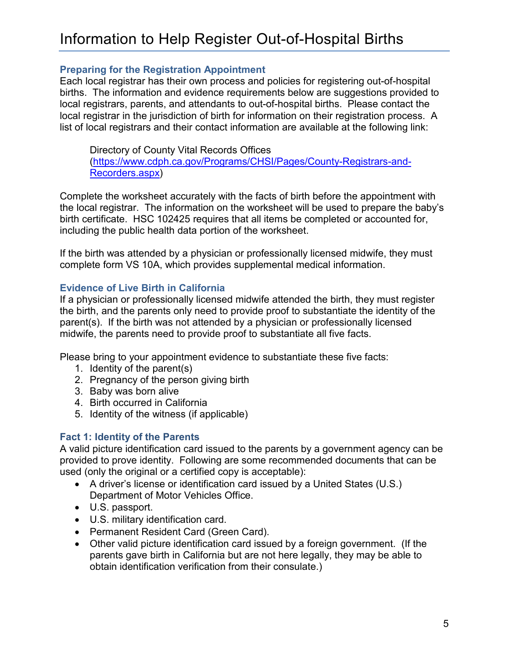## **Preparing for the Registration Appointment**

Each local registrar has their own process and policies for registering out-of-hospital births. The information and evidence requirements below are suggestions provided to local registrars, parents, and attendants to out-of-hospital births. Please contact the local registrar in the jurisdiction of birth for information on their registration process. A list of local registrars and their contact information are available at the following link:

Directory of County Vital Records Offices [\(https://www.cdph.ca.gov/Programs/CHSI/Pages/County-Registrars-and-](https://www.cdph.ca.gov/Programs/CHSI/Pages/County-Registrars-and-Recorders.aspx)[Recorders.aspx\)](https://www.cdph.ca.gov/Programs/CHSI/Pages/County-Registrars-and-Recorders.aspx)

Complete the worksheet accurately with the facts of birth before the appointment with the local registrar. The information on the worksheet will be used to prepare the baby's birth certificate. HSC 102425 requires that all items be completed or accounted for, including the public health data portion of the worksheet.

If the birth was attended by a physician or professionally licensed midwife, they must complete form VS 10A, which provides supplemental medical information.

## **Evidence of Live Birth in California**

If a physician or professionally licensed midwife attended the birth, they must register the birth, and the parents only need to provide proof to substantiate the identity of the parent(s). If the birth was not attended by a physician or professionally licensed midwife, the parents need to provide proof to substantiate all five facts.

Please bring to your appointment evidence to substantiate these five facts:

- 1. Identity of the parent(s)
- 2. Pregnancy of the person giving birth
- 3. Baby was born alive
- 4. Birth occurred in California
- 5. Identity of the witness (if applicable)

## **Fact 1: Identity of the Parents**

A valid picture identification card issued to the parents by a government agency can be provided to prove identity. Following are some recommended documents that can be used (only the original or a certified copy is acceptable):

- A driver's license or identification card issued by a United States (U.S.) Department of Motor Vehicles Office.
- U.S. passport.
- U.S. military identification card.
- Permanent Resident Card (Green Card).
- Other valid picture identification card issued by a foreign government. (If the parents gave birth in California but are not here legally, they may be able to obtain identification verification from their consulate.)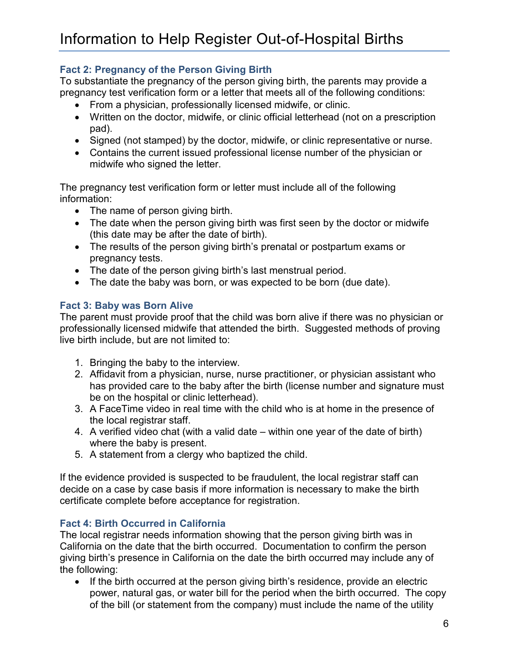## **Fact 2: Pregnancy of the Person Giving Birth**

To substantiate the pregnancy of the person giving birth, the parents may provide a pregnancy test verification form or a letter that meets all of the following conditions:

- From a physician, professionally licensed midwife, or clinic.
- Written on the doctor, midwife, or clinic official letterhead (not on a prescription pad).
- Signed (not stamped) by the doctor, midwife, or clinic representative or nurse.
- Contains the current issued professional license number of the physician or midwife who signed the letter.

The pregnancy test verification form or letter must include all of the following information:

- The name of person giving birth.
- The date when the person giving birth was first seen by the doctor or midwife (this date may be after the date of birth).
- The results of the person giving birth's prenatal or postpartum exams or pregnancy tests.
- The date of the person giving birth's last menstrual period.
- The date the baby was born, or was expected to be born (due date).

## **Fact 3: Baby was Born Alive**

The parent must provide proof that the child was born alive if there was no physician or professionally licensed midwife that attended the birth. Suggested methods of proving live birth include, but are not limited to:

- 1. Bringing the baby to the interview.
- 2. Affidavit from a physician, nurse, nurse practitioner, or physician assistant who has provided care to the baby after the birth (license number and signature must be on the hospital or clinic letterhead).
- 3. A FaceTime video in real time with the child who is at home in the presence of the local registrar staff.
- 4. A verified video chat (with a valid date within one year of the date of birth) where the baby is present.
- 5. A statement from a clergy who baptized the child.

If the evidence provided is suspected to be fraudulent, the local registrar staff can decide on a case by case basis if more information is necessary to make the birth certificate complete before acceptance for registration.

## **Fact 4: Birth Occurred in California**

The local registrar needs information showing that the person giving birth was in California on the date that the birth occurred. Documentation to confirm the person giving birth's presence in California on the date the birth occurred may include any of the following:

• If the birth occurred at the person giving birth's residence, provide an electric power, natural gas, or water bill for the period when the birth occurred. The copy of the bill (or statement from the company) must include the name of the utility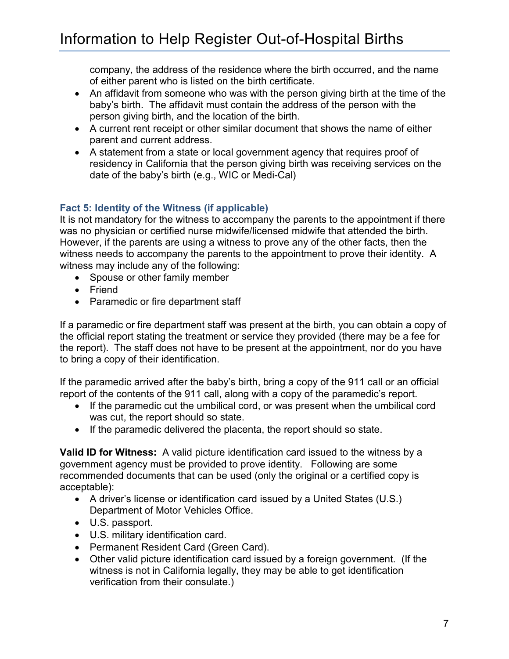company, the address of the residence where the birth occurred, and the name of either parent who is listed on the birth certificate.

- An affidavit from someone who was with the person giving birth at the time of the baby's birth. The affidavit must contain the address of the person with the person giving birth, and the location of the birth.
- A current rent receipt or other similar document that shows the name of either parent and current address.
- A statement from a state or local government agency that requires proof of residency in California that the person giving birth was receiving services on the date of the baby's birth (e.g., WIC or Medi-Cal)

## **Fact 5: Identity of the Witness (if applicable)**

It is not mandatory for the witness to accompany the parents to the appointment if there was no physician or certified nurse midwife/licensed midwife that attended the birth. However, if the parents are using a witness to prove any of the other facts, then the witness needs to accompany the parents to the appointment to prove their identity. A witness may include any of the following:

- Spouse or other family member
- Friend
- Paramedic or fire department staff

If a paramedic or fire department staff was present at the birth, you can obtain a copy of the official report stating the treatment or service they provided (there may be a fee for the report). The staff does not have to be present at the appointment, nor do you have to bring a copy of their identification.

If the paramedic arrived after the baby's birth, bring a copy of the 911 call or an official report of the contents of the 911 call, along with a copy of the paramedic's report.

- If the paramedic cut the umbilical cord, or was present when the umbilical cord was cut, the report should so state.
- If the paramedic delivered the placenta, the report should so state.

**Valid ID for Witness:** A valid picture identification card issued to the witness by a government agency must be provided to prove identity. Following are some recommended documents that can be used (only the original or a certified copy is acceptable):

- A driver's license or identification card issued by a United States (U.S.) Department of Motor Vehicles Office.
- U.S. passport.
- U.S. military identification card.
- Permanent Resident Card (Green Card).
- Other valid picture identification card issued by a foreign government. (If the witness is not in California legally, they may be able to get identification verification from their consulate.)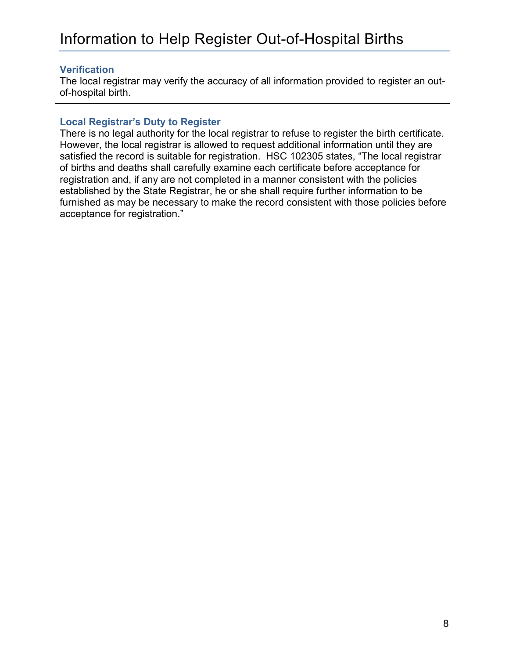## **Verification**

The local registrar may verify the accuracy of all information provided to register an outof-hospital birth.

## **Local Registrar's Duty to Register**

There is no legal authority for the local registrar to refuse to register the birth certificate. However, the local registrar is allowed to request additional information until they are satisfied the record is suitable for registration. HSC 102305 states, "The local registrar of births and deaths shall carefully examine each certificate before acceptance for registration and, if any are not completed in a manner consistent with the policies established by the State Registrar, he or she shall require further information to be furnished as may be necessary to make the record consistent with those policies before acceptance for registration."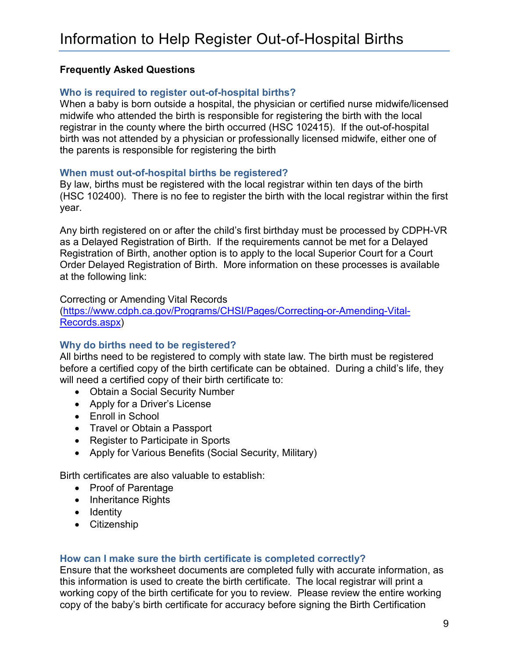## **Frequently Asked Questions**

## **Who is required to register out-of-hospital births?**

When a baby is born outside a hospital, the physician or certified nurse midwife/licensed midwife who attended the birth is responsible for registering the birth with the local registrar in the county where the birth occurred (HSC 102415). If the out-of-hospital birth was not attended by a physician or professionally licensed midwife, either one of the parents is responsible for registering the birth

## **When must out-of-hospital births be registered?**

By law, births must be registered with the local registrar within ten days of the birth (HSC 102400). There is no fee to register the birth with the local registrar within the first year.

Any birth registered on or after the child's first birthday must be processed by CDPH-VR as a Delayed Registration of Birth. If the requirements cannot be met for a Delayed Registration of Birth, another option is to apply to the local Superior Court for a Court Order Delayed Registration of Birth. More information on these processes is available at the following link:

### Correcting or Amending Vital Records

[\(https://www.cdph.ca.gov/Programs/CHSI/Pages/Correcting-or-Amending-Vital-](https://www.cdph.ca.gov/Programs/CHSI/Pages/Correcting-or-Amending-Vital-Records.aspx)[Records.aspx\)](https://www.cdph.ca.gov/Programs/CHSI/Pages/Correcting-or-Amending-Vital-Records.aspx)

## **Why do births need to be registered?**

All births need to be registered to comply with state law. The birth must be registered before a certified copy of the birth certificate can be obtained. During a child's life, they will need a certified copy of their birth certificate to:

- Obtain a Social Security Number
- Apply for a Driver's License
- Enroll in School
- Travel or Obtain a Passport
- Register to Participate in Sports
- Apply for Various Benefits (Social Security, Military)

Birth certificates are also valuable to establish:

- Proof of Parentage
- Inheritance Rights
- Identity
- Citizenship

## **How can I make sure the birth certificate is completed correctly?**

Ensure that the worksheet documents are completed fully with accurate information, as this information is used to create the birth certificate. The local registrar will print a working copy of the birth certificate for you to review. Please review the entire working copy of the baby's birth certificate for accuracy before signing the Birth Certification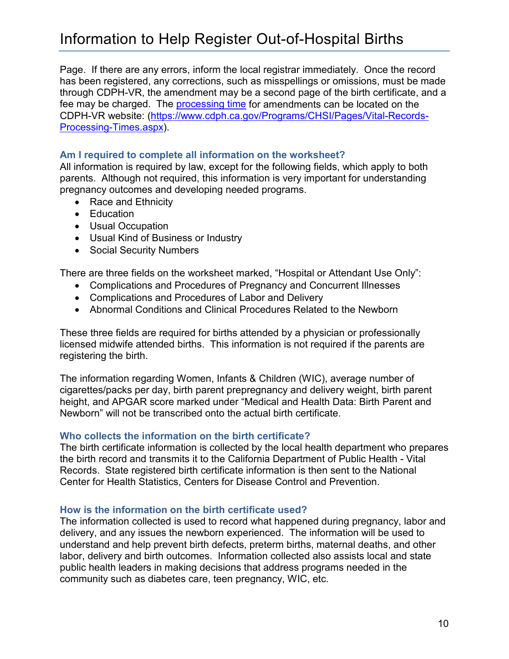Page. If there are any errors, inform the local registrar immediately. Once the record has been registered, any corrections, such as misspellings or omissions, must be made through CDPH-VR, the amendment may be a second page of the birth certificate, and a fee may be charged. The [processing time](https://www.cdph.ca.gov/Programs/CHSI/Pages/Vital-Records-Processing-Times.aspx) for amendments can be located on the CDPH-VR website: [\(https://www.cdph.ca.gov/Programs/CHSI/Pages/Vital-Records-](https://www.cdph.ca.gov/Programs/CHSI/Pages/Vital-Records-Processing-Times.aspx)[Processing-Times.aspx\)](https://www.cdph.ca.gov/Programs/CHSI/Pages/Vital-Records-Processing-Times.aspx).

## **Am I required to complete all information on the worksheet?**

All information is required by law, except for the following fields, which apply to both parents. Although not required, this information is very important for understanding pregnancy outcomes and developing needed programs.

- Race and Ethnicity
- Education
- Usual Occupation
- Usual Kind of Business or Industry
- Social Security Numbers

There are three fields on the worksheet marked, "Hospital or Attendant Use Only":

- Complications and Procedures of Pregnancy and Concurrent Illnesses
- Complications and Procedures of Labor and Delivery
- Abnormal Conditions and Clinical Procedures Related to the Newborn

These three fields are required for births attended by a physician or professionally licensed midwife attended births. This information is not required if the parents are registering the birth.

The information regarding Women, Infants & Children (WIC), average number of cigarettes/packs per day, birth parent prepregnancy and delivery weight, birth parent height, and APGAR score marked under "Medical and Health Data: Birth Parent and Newborn" will not be transcribed onto the actual birth certificate.

## **Who collects the information on the birth certificate?**

The birth certificate information is collected by the local health department who prepares the birth record and transmits it to the California Department of Public Health - Vital Records. State registered birth certificate information is then sent to the National Center for Health Statistics, Centers for Disease Control and Prevention.

## **How is the information on the birth certificate used?**

The information collected is used to record what happened during pregnancy, labor and delivery, and any issues the newborn experienced. The information will be used to understand and help prevent birth defects, preterm births, maternal deaths, and other labor, delivery and birth outcomes. Information collected also assists local and state public health leaders in making decisions that address programs needed in the community such as diabetes care, teen pregnancy, WIC, etc.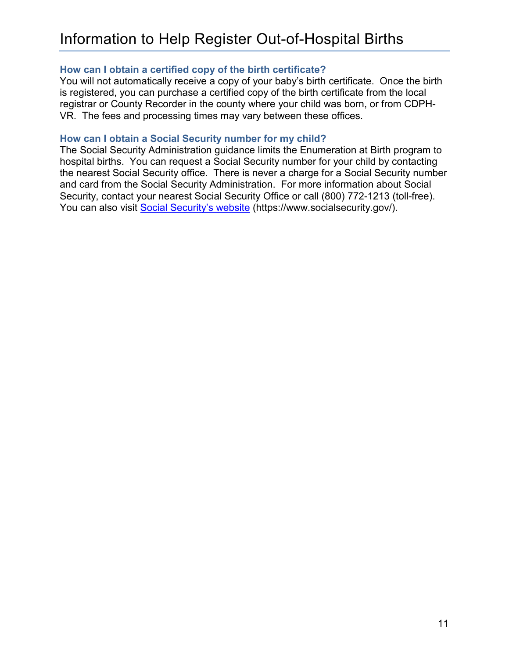## **How can I obtain a certified copy of the birth certificate?**

You will not automatically receive a copy of your baby's birth certificate. Once the birth is registered, you can purchase a certified copy of the birth certificate from the local registrar or County Recorder in the county where your child was born, or from CDPH-VR. The fees and processing times may vary between these offices.

## **How can I obtain a Social Security number for my child?**

The Social Security Administration guidance limits the Enumeration at Birth program to hospital births. You can request a Social Security number for your child by contacting the nearest Social Security office. There is never a charge for a Social Security number and card from the Social Security Administration. For more information about Social Security, contact your nearest Social Security Office or call (800) 772-1213 (toll-free). You can also visit [Social Security's website](https://www.socialsecurity.gov/) (https://www.socialsecurity.gov/).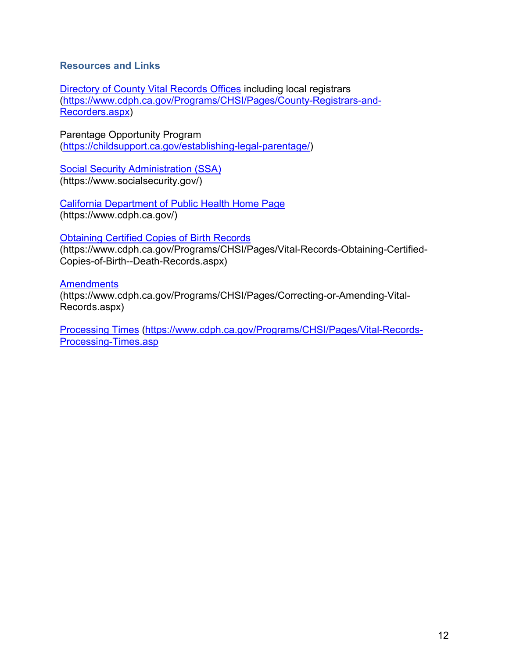## **Resources and Links**

[Directory of County Vital Records Offices](https://www.cdph.ca.gov/Programs/CHSI/Pages/County-Registrars-and-Recorders.aspx) including local registrars [\(https://www.cdph.ca.gov/Programs/CHSI/Pages/County-Registrars-and-](https://www.cdph.ca.gov/Programs/CHSI/Pages/County-Registrars-and-Recorders.aspx)[Recorders.aspx\)](https://www.cdph.ca.gov/Programs/CHSI/Pages/County-Registrars-and-Recorders.aspx)

Parentage Opportunity Program [\(https://childsupport.ca.gov/establishing-legal-parentage/\)](https://urldefense.proofpoint.com/v2/url?u=https-3A__childsupport.ca.gov_establishing-2Dlegal-2Dparentage_&d=DwMFAg&c=Lr0a7ed3egkbwePCNW4ROg&r=SUIoFwtU_EgNsa99_BFlIrxQzYATxEn4ZLvgG7bQAvU&m=JINjWr8ukj6M1op1busLSk973NbRCrx5lpOugwk77Mk&s=c_aQhdmy3KgijEK6nR5F7vMFruC6if0y2uYj5VRyO5g&e=)

**[Social Security Administration \(SSA\)](https://www.socialsecurity.gov/)** (https://www.socialsecurity.gov/)

[California Department of Public Health Home Page](https://www.cdph.ca.gov/)  (https://www.cdph.ca.gov/)

## Obtaining Certified [Copies of Birth Records](https://www.cdph.ca.gov/Programs/CHSI/Pages/Vital-Records-Obtaining-Certified-Copies-of-Birth--Death-Records.aspx)

(https://www.cdph.ca.gov/Programs/CHSI/Pages/Vital-Records-Obtaining-Certified-Copies-of-Birth--Death-Records.aspx)

**[Amendments](https://www.cdph.ca.gov/Programs/CHSI/Pages/Correcting-or-Amending-Vital-Records.aspx)** 

(https://www.cdph.ca.gov/Programs/CHSI/Pages/Correcting-or-Amending-Vital-Records.aspx)

[Processing Times](https://www.cdph.ca.gov/Programs/CHSI/Pages/Vital-Records-Processing-Times.aspx) (https://www.cdph.ca.gov/Programs/CHSI/Pages/Vital-Records-Processing-Times.asp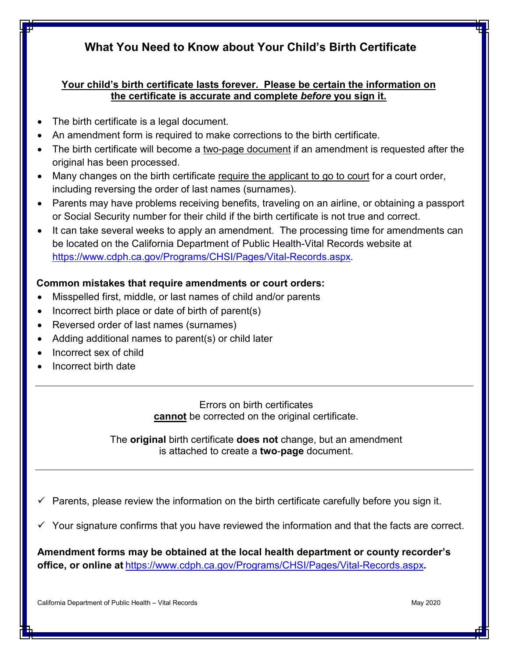## **What You Need to Know about Your Child's Birth Certificate**

## **Your child's birth certificate lasts forever. Please be certain the information on the certificate is accurate and complete** *before* **you sign it.**

- The birth certificate is a legal document.
- An amendment form is required to make corrections to the birth certificate.
- The birth certificate will become a two-page document if an amendment is requested after the original has been processed.
- Many changes on the birth certificate require the applicant to go to court for a court order, including reversing the order of last names (surnames).
- Parents may have problems receiving benefits, traveling on an airline, or obtaining a passport or Social Security number for their child if the birth certificate is not true and correct.
- It can take several weeks to apply an amendment. The processing time for amendments can be located on the California Department of Public Health-Vital Records website at [https://www.cdph.ca.gov/Programs/CHSI/Pages/Vital-Records.aspx.](https://www.cdph.ca.gov/Programs/CHSI/Pages/Vital-Records.aspx)

## **Common mistakes that require amendments or court orders:**

- Misspelled first, middle, or last names of child and/or parents
- Incorrect birth place or date of birth of parent(s)
- Reversed order of last names (surnames)
- Adding additional names to parent(s) or child later
- Incorrect sex of child
- Incorrect birth date

Errors on birth certificates **cannot** be corrected on the original certificate.

The **original** birth certificate **does not** change, but an amendment is attached to create a **two**-**page** document.

 $\checkmark$  Parents, please review the information on the birth certificate carefully before you sign it.

Your signature confirms that you have reviewed the information and that the facts are correct.

**Amendment forms may be obtained at the local health department or county recorder's office, or online at** <https://www.cdph.ca.gov/Programs/CHSI/Pages/Vital-Records.aspx>**.**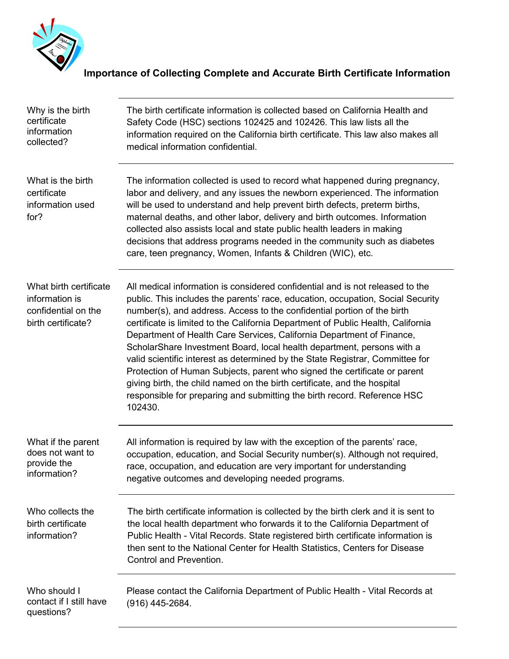

## **Importance of Collecting Complete and Accurate Birth Certificate Information**

| Why is the birth<br>certificate<br>information<br>collected?                          | The birth certificate information is collected based on California Health and<br>Safety Code (HSC) sections 102425 and 102426. This law lists all the<br>information required on the California birth certificate. This law also makes all<br>medical information confidential.                                                                                                                                                                                                                                                                                                                                                                                                                                                                                                                                     |
|---------------------------------------------------------------------------------------|---------------------------------------------------------------------------------------------------------------------------------------------------------------------------------------------------------------------------------------------------------------------------------------------------------------------------------------------------------------------------------------------------------------------------------------------------------------------------------------------------------------------------------------------------------------------------------------------------------------------------------------------------------------------------------------------------------------------------------------------------------------------------------------------------------------------|
| What is the birth<br>certificate<br>information used<br>for?                          | The information collected is used to record what happened during pregnancy,<br>labor and delivery, and any issues the newborn experienced. The information<br>will be used to understand and help prevent birth defects, preterm births,<br>maternal deaths, and other labor, delivery and birth outcomes. Information<br>collected also assists local and state public health leaders in making<br>decisions that address programs needed in the community such as diabetes<br>care, teen pregnancy, Women, Infants & Children (WIC), etc.                                                                                                                                                                                                                                                                         |
| What birth certificate<br>information is<br>confidential on the<br>birth certificate? | All medical information is considered confidential and is not released to the<br>public. This includes the parents' race, education, occupation, Social Security<br>number(s), and address. Access to the confidential portion of the birth<br>certificate is limited to the California Department of Public Health, California<br>Department of Health Care Services, California Department of Finance,<br>ScholarShare Investment Board, local health department, persons with a<br>valid scientific interest as determined by the State Registrar, Committee for<br>Protection of Human Subjects, parent who signed the certificate or parent<br>giving birth, the child named on the birth certificate, and the hospital<br>responsible for preparing and submitting the birth record. Reference HSC<br>102430. |
| What if the parent<br>does not want to<br>provide the<br>information?                 | All information is required by law with the exception of the parents' race,<br>occupation, education, and Social Security number(s). Although not required,<br>race, occupation, and education are very important for understanding<br>negative outcomes and developing needed programs.                                                                                                                                                                                                                                                                                                                                                                                                                                                                                                                            |
| Who collects the<br>birth certificate<br>information?                                 | The birth certificate information is collected by the birth clerk and it is sent to<br>the local health department who forwards it to the California Department of<br>Public Health - Vital Records. State registered birth certificate information is<br>then sent to the National Center for Health Statistics, Centers for Disease<br>Control and Prevention.                                                                                                                                                                                                                                                                                                                                                                                                                                                    |
| Who should I<br>contact if I still have<br>questions?                                 | Please contact the California Department of Public Health - Vital Records at<br>$(916)$ 445-2684.                                                                                                                                                                                                                                                                                                                                                                                                                                                                                                                                                                                                                                                                                                                   |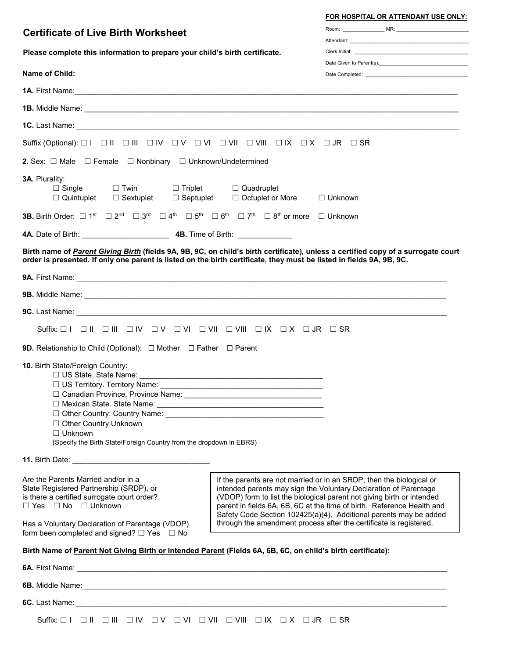### **FOR HOSPITAL OR ATTENDANT USE ONLY:**

| <b>Certificate of Live Birth Worksheet</b>                                                                                                                                                                                                                                      |                                                                                                                                                                                                                                                                                                                                                                                                                                         |  |
|---------------------------------------------------------------------------------------------------------------------------------------------------------------------------------------------------------------------------------------------------------------------------------|-----------------------------------------------------------------------------------------------------------------------------------------------------------------------------------------------------------------------------------------------------------------------------------------------------------------------------------------------------------------------------------------------------------------------------------------|--|
| Please complete this information to prepare your child's birth certificate.                                                                                                                                                                                                     |                                                                                                                                                                                                                                                                                                                                                                                                                                         |  |
|                                                                                                                                                                                                                                                                                 |                                                                                                                                                                                                                                                                                                                                                                                                                                         |  |
| Name of Child:                                                                                                                                                                                                                                                                  |                                                                                                                                                                                                                                                                                                                                                                                                                                         |  |
|                                                                                                                                                                                                                                                                                 | <b>1A.</b> First Name: <u>Conserversion of the conserversion of the conserversion of the conserversion of the conserversion of the conserversion of the conserversion of the conserversion of the conserversion of the conserversion </u>                                                                                                                                                                                               |  |
|                                                                                                                                                                                                                                                                                 | <b>1B.</b> Middle Name: <u>Communication of the Communication of the Communication of the Communication of the Communication of the Communication of the Communication of the Communication of the Communication of the Communication</u>                                                                                                                                                                                               |  |
|                                                                                                                                                                                                                                                                                 |                                                                                                                                                                                                                                                                                                                                                                                                                                         |  |
|                                                                                                                                                                                                                                                                                 |                                                                                                                                                                                                                                                                                                                                                                                                                                         |  |
| <b>2.</b> Sex: $\Box$ Male $\Box$ Female $\Box$ Nonbinary $\Box$ Unknown/Undetermined                                                                                                                                                                                           |                                                                                                                                                                                                                                                                                                                                                                                                                                         |  |
| 3A. Plurality:<br>$\Box$ Twin $\Box$ Triplet $\Box$ Quadruplet<br>$\Box$ Single<br>$\Box$ Quintuplet $\Box$ Sextuplet $\Box$ Septuplet $\Box$ Octuplet or More                                                                                                                  | $\Box$ Unknown                                                                                                                                                                                                                                                                                                                                                                                                                          |  |
| <b>3B.</b> Birth Order: $\Box$ 1 <sup>st</sup> $\Box$ 2 <sup>nd</sup> $\Box$ 3 <sup>rd</sup> $\Box$ 4 <sup>th</sup> $\Box$ 5 <sup>th</sup> $\Box$ 6 <sup>th</sup> $\Box$ 7 <sup>th</sup> $\Box$ 8 <sup>th</sup> or more $\Box$ Unknown                                          |                                                                                                                                                                                                                                                                                                                                                                                                                                         |  |
|                                                                                                                                                                                                                                                                                 |                                                                                                                                                                                                                                                                                                                                                                                                                                         |  |
|                                                                                                                                                                                                                                                                                 | Birth name of Parent Giving Birth (fields 9A, 9B, 9C, on child's birth certificate), unless a certified copy of a surrogate court<br>order is presented. If only one parent is listed on the birth certificate, they must be listed in fields 9A, 9B, 9C.                                                                                                                                                                               |  |
|                                                                                                                                                                                                                                                                                 | <b>9A.</b> First Name: <u>Canadian Communications</u> of the set of the set of the set of the set of the set of the set of the set of the set of the set of the set of the set of the set of the set of the set of the set of the set of                                                                                                                                                                                                |  |
|                                                                                                                                                                                                                                                                                 |                                                                                                                                                                                                                                                                                                                                                                                                                                         |  |
|                                                                                                                                                                                                                                                                                 |                                                                                                                                                                                                                                                                                                                                                                                                                                         |  |
|                                                                                                                                                                                                                                                                                 |                                                                                                                                                                                                                                                                                                                                                                                                                                         |  |
| <b>9D.</b> Relationship to Child (Optional): $\Box$ Mother $\Box$ Father $\Box$ Parent                                                                                                                                                                                          |                                                                                                                                                                                                                                                                                                                                                                                                                                         |  |
| 10. Birth State/Foreign Country:<br>□ Canadian Province. Province Name:<br>□ Other Country Unknown<br>$\Box$ Unknown<br>(Specify the Birth State/Foreign Country from the dropdown in EBRS)                                                                                     |                                                                                                                                                                                                                                                                                                                                                                                                                                         |  |
|                                                                                                                                                                                                                                                                                 |                                                                                                                                                                                                                                                                                                                                                                                                                                         |  |
| Are the Parents Married and/or in a<br>State Registered Partnership (SRDP), or<br>is there a certified surrogate court order?<br>$\Box$ Yes $\Box$ No $\Box$ Unknown<br>Has a Voluntary Declaration of Parentage (VDOP)<br>form been completed and signed? $\Box$ Yes $\Box$ No | If the parents are not married or in an SRDP, then the biological or<br>intended parents may sign the Voluntary Declaration of Parentage<br>(VDOP) form to list the biological parent not giving birth or intended<br>parent in fields 6A, 6B, 6C at the time of birth. Reference Health and<br>Safety Code Section 102425(a)(4). Additional parents may be added<br>through the amendment process after the certificate is registered. |  |
| Birth Name of Parent Not Giving Birth or Intended Parent (Fields 6A, 6B, 6C, on child's birth certificate):                                                                                                                                                                     |                                                                                                                                                                                                                                                                                                                                                                                                                                         |  |
|                                                                                                                                                                                                                                                                                 |                                                                                                                                                                                                                                                                                                                                                                                                                                         |  |
|                                                                                                                                                                                                                                                                                 |                                                                                                                                                                                                                                                                                                                                                                                                                                         |  |
|                                                                                                                                                                                                                                                                                 | 6C. Last Name: <u>Contract Communications</u> Contract Contract Contract Contract Contract Contract Contract Contract Contract Contract Contract Contract Contract Contract Contract Contract Contract Contract Contract Contract C                                                                                                                                                                                                     |  |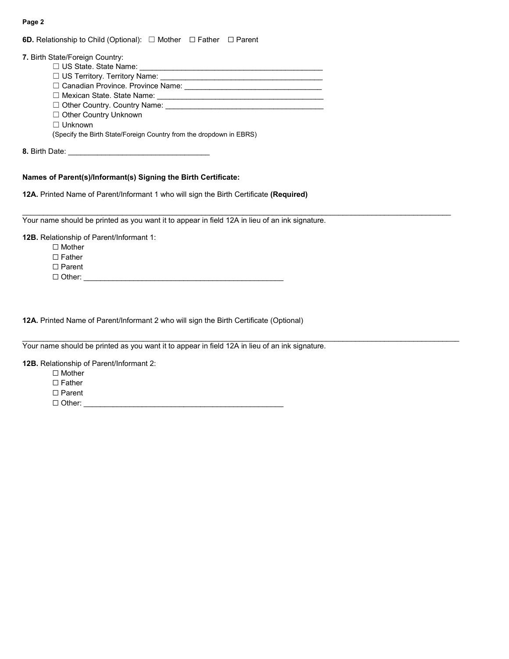| <b>6D.</b> Relationship to Child (Optional): $\Box$ Mother $\Box$ Father $\Box$ Parent |  |  |  |
|----------------------------------------------------------------------------------------|--|--|--|
|----------------------------------------------------------------------------------------|--|--|--|

| 7. Birth State/Foreign Country:                                     |
|---------------------------------------------------------------------|
| $\Box$ US State. State Name:                                        |
| □ US Territory. Territory Name:                                     |
| □ Canadian Province. Province Name:                                 |
| $\Box$ Mexican State. State Name:                                   |
| $\Box$ Other Country. Country Name:                                 |
| $\Box$ Other Country Unknown                                        |
| $\Box$ Unknown                                                      |
| (Specify the Birth State/Foreign Country from the dropdown in EBRS) |
| 8. Birth Date:                                                      |

## **Names of Parent(s)/Informant(s) Signing the Birth Certificate:**

**12A.** Printed Name of Parent/Informant 1 who will sign the Birth Certificate **(Required)**

Your name should be printed as you want it to appear in field 12A in lieu of an ink signature.

 $\mathcal{L}_\mathcal{L} = \{ \mathcal{L}_\mathcal{L}, \mathcal{L}_\mathcal{L}, \mathcal{L}_\mathcal{L}, \mathcal{L}_\mathcal{L}, \mathcal{L}_\mathcal{L}, \mathcal{L}_\mathcal{L}, \mathcal{L}_\mathcal{L}, \mathcal{L}_\mathcal{L}, \mathcal{L}_\mathcal{L}, \mathcal{L}_\mathcal{L}, \mathcal{L}_\mathcal{L}, \mathcal{L}_\mathcal{L}, \mathcal{L}_\mathcal{L}, \mathcal{L}_\mathcal{L}, \mathcal{L}_\mathcal{L}, \mathcal{L}_\mathcal{L}, \mathcal{L}_\mathcal{L}, \$ 

 $\mathcal{L}_\mathcal{L} = \{ \mathcal{L}_\mathcal{L} = \{ \mathcal{L}_\mathcal{L} = \{ \mathcal{L}_\mathcal{L} = \{ \mathcal{L}_\mathcal{L} = \{ \mathcal{L}_\mathcal{L} = \{ \mathcal{L}_\mathcal{L} = \{ \mathcal{L}_\mathcal{L} = \{ \mathcal{L}_\mathcal{L} = \{ \mathcal{L}_\mathcal{L} = \{ \mathcal{L}_\mathcal{L} = \{ \mathcal{L}_\mathcal{L} = \{ \mathcal{L}_\mathcal{L} = \{ \mathcal{L}_\mathcal{L} = \{ \mathcal{L}_\mathcal{$ 

**12B.** Relationship of Parent/Informant 1:

☐ Mother

☐ Father

☐ Parent

☐ Other: \_\_\_\_\_\_\_\_\_\_\_\_\_\_\_\_\_\_\_\_\_\_\_\_\_\_\_\_\_\_\_\_\_\_\_\_\_\_\_\_\_\_\_\_\_\_\_\_

**12A.** Printed Name of Parent/Informant 2 who will sign the Birth Certificate (Optional)

Your name should be printed as you want it to appear in field 12A in lieu of an ink signature.

**12B.** Relationship of Parent/Informant 2:

☐ Mother

☐ Father

☐ Parent

☐ Other: \_\_\_\_\_\_\_\_\_\_\_\_\_\_\_\_\_\_\_\_\_\_\_\_\_\_\_\_\_\_\_\_\_\_\_\_\_\_\_\_\_\_\_\_\_\_\_\_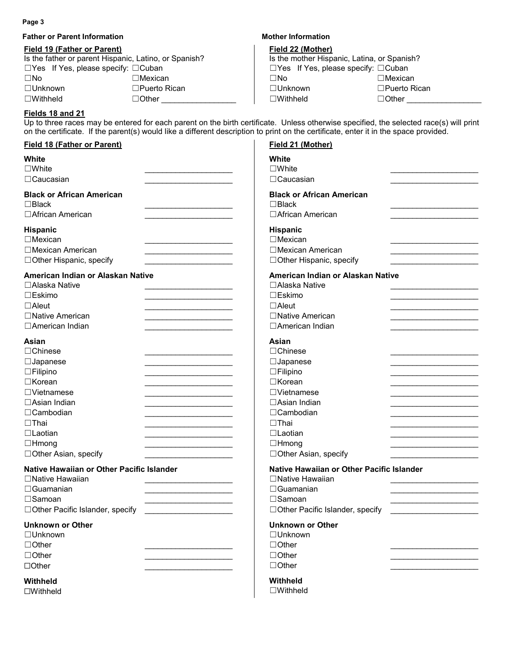**Father or Parent Information 1997 12:33 12:34 12:34 12:35 12:35 12:35 12:35 12:35 12:35 12:35 12:35 12:35 12:35 12:35 12:35 12:35 12:35 12:35 12:35 12:35 12:35 12:35 12:35 12:35 12:35 12:35 12:35 12:35 12:35 12:35 12:35** 

## **Field 19 (Father or Parent)**

| <b>Field 19 (Father or Parent)</b>                    |                     | Field 22 (Mother)                               |                     |
|-------------------------------------------------------|---------------------|-------------------------------------------------|---------------------|
| Is the father or parent Hispanic, Latino, or Spanish? |                     | Is the mother Hispanic, Latina, or Spanish?     |                     |
| $\Box$ Yes If Yes, please specify: $\Box$ Cuban       |                     | $\Box$ Yes If Yes, please specify: $\Box$ Cuban |                     |
| $\square$ No                                          | ∃Mexican∶           | ∃No                                             | $\Box$ Mexican      |
| $\square$ Unknown                                     | $\Box$ Puerto Rican | ⊐Unknown                                        | $\Box$ Puerto Rican |
| $\square$ Withheld                                    | ∃Other              | $\sqsupset$ Withheld                            | $\Box$ Other        |

### **Fields 18 and 21**

Up to three races may be entered for each parent on the birth certificate. Unless otherwise specified, the selected race(s) will print on the certificate. If the parent(s) would like a different description to print on the certificate, enter it in the space provided.

| Field 18 (Father or Parent)                                                                                                                                                                                                                                                                                             | Field 21 (Mother)                                                                                                                                                                                             |
|-------------------------------------------------------------------------------------------------------------------------------------------------------------------------------------------------------------------------------------------------------------------------------------------------------------------------|---------------------------------------------------------------------------------------------------------------------------------------------------------------------------------------------------------------|
| White                                                                                                                                                                                                                                                                                                                   | White                                                                                                                                                                                                         |
| $\square$ White                                                                                                                                                                                                                                                                                                         | $\square$ White                                                                                                                                                                                               |
| $\Box$ Caucasian                                                                                                                                                                                                                                                                                                        | $\Box$ Caucasian                                                                                                                                                                                              |
| <b>Black or African American</b>                                                                                                                                                                                                                                                                                        | <b>Black or African American</b>                                                                                                                                                                              |
| $\Box$ Black                                                                                                                                                                                                                                                                                                            | $\Box$ Black                                                                                                                                                                                                  |
| □ African American                                                                                                                                                                                                                                                                                                      | □ African American                                                                                                                                                                                            |
| Hispanic                                                                                                                                                                                                                                                                                                                | Hispanic                                                                                                                                                                                                      |
| $\Box$ Mexican                                                                                                                                                                                                                                                                                                          | $\Box$ Mexican                                                                                                                                                                                                |
| □Mexican American                                                                                                                                                                                                                                                                                                       | □Mexican American                                                                                                                                                                                             |
| □ Other Hispanic, specify                                                                                                                                                                                                                                                                                               | □ Other Hispanic, specify                                                                                                                                                                                     |
| American Indian or Alaskan Native                                                                                                                                                                                                                                                                                       | American Indian or Alaskan Native                                                                                                                                                                             |
| □Alaska Native                                                                                                                                                                                                                                                                                                          | □Alaska Native                                                                                                                                                                                                |
| $\square$ Eskimo                                                                                                                                                                                                                                                                                                        | □Eskimo                                                                                                                                                                                                       |
| $\Box$ Aleut                                                                                                                                                                                                                                                                                                            | $\Box$ Aleut                                                                                                                                                                                                  |
| □Native American                                                                                                                                                                                                                                                                                                        | □Native American                                                                                                                                                                                              |
| □ American Indian                                                                                                                                                                                                                                                                                                       | □ American Indian                                                                                                                                                                                             |
| Asian<br>$\Box$ Chinese<br>$\Box$ Japanese<br>$\Box$ Filipino<br>$\Box$ Korean<br>$\Box$ Vietnamese<br>□Asian Indian<br>the control of the control of the control of<br>$\Box$ Cambodian<br>$\Box$ Thai<br>$\Box$ Laotian<br>$\Box$ Hmong<br>the control of the control of the control of the<br>□ Other Asian, specify | Asian<br>$\Box$ Chinese<br>$\Box$ Japanese<br>$\Box$ Filipino<br>□Korean<br>$\Box$ Vietnamese<br>□Asian Indian<br>$\Box$ Cambodian<br>$\Box$ Thai<br>$\Box$ Laotian<br>$\Box$ Hmong<br>□ Other Asian, specify |
| Native Hawaiian or Other Pacific Islander                                                                                                                                                                                                                                                                               | Native Hawaiian or Other Pacific Islander                                                                                                                                                                     |
| □ Native Hawaiian                                                                                                                                                                                                                                                                                                       | □Native Hawaiian                                                                                                                                                                                              |
| $\Box$ Guamanian                                                                                                                                                                                                                                                                                                        | $\Box$ Guamanian                                                                                                                                                                                              |
| □Samoan                                                                                                                                                                                                                                                                                                                 | □Samoan                                                                                                                                                                                                       |
| □Other Pacific Islander, specify                                                                                                                                                                                                                                                                                        | □Other Pacific Islander, specify                                                                                                                                                                              |
| <b>Unknown or Other</b>                                                                                                                                                                                                                                                                                                 | <b>Unknown or Other</b>                                                                                                                                                                                       |
| $\Box$ Unknown                                                                                                                                                                                                                                                                                                          | $\Box$ Unknown                                                                                                                                                                                                |
| $\Box$ Other                                                                                                                                                                                                                                                                                                            | $\Box$ Other                                                                                                                                                                                                  |
| $\Box$ Other                                                                                                                                                                                                                                                                                                            | $\Box$ Other                                                                                                                                                                                                  |
| $\Box$ Other                                                                                                                                                                                                                                                                                                            | $\Box$ Other                                                                                                                                                                                                  |
| Withheld                                                                                                                                                                                                                                                                                                                | Withheld                                                                                                                                                                                                      |
| $\square$ Withheld                                                                                                                                                                                                                                                                                                      | $\square$ Withheld                                                                                                                                                                                            |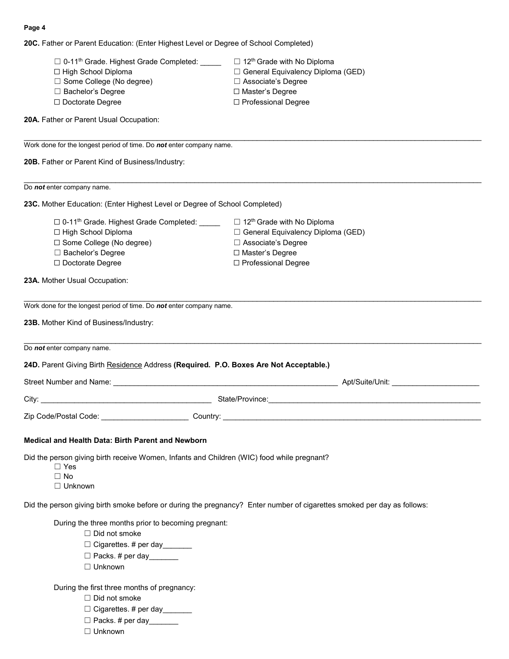**20C.** Father or Parent Education: (Enter Highest Level or Degree of School Completed)

| □ 0-11 <sup>th</sup> Grade. Highest Grade Completed:<br>□ High School Diploma<br>□ Some College (No degree)<br>□ Bachelor's Degree<br>$\Box$ Doctorate Degree | $\Box$ 12 <sup>th</sup> Grade with No Diploma<br>□ General Equivalency Diploma (GED)<br>□ Associate's Degree<br>□ Master's Degree<br>□ Professional Degree |
|---------------------------------------------------------------------------------------------------------------------------------------------------------------|------------------------------------------------------------------------------------------------------------------------------------------------------------|
| 20A. Father or Parent Usual Occupation:                                                                                                                       |                                                                                                                                                            |
| Work done for the longest period of time. Do not enter company name.                                                                                          |                                                                                                                                                            |
| 20B. Father or Parent Kind of Business/Industry:                                                                                                              |                                                                                                                                                            |
| Do <i>not</i> enter company name.                                                                                                                             |                                                                                                                                                            |
| 23C. Mother Education: (Enter Highest Level or Degree of School Completed)                                                                                    |                                                                                                                                                            |
| □ 0-11 <sup>th</sup> Grade. Highest Grade Completed: _____                                                                                                    | $\Box$ 12 <sup>th</sup> Grade with No Diploma                                                                                                              |
| □ High School Diploma                                                                                                                                         | □ General Equivalency Diploma (GED)                                                                                                                        |
| □ Some College (No degree)                                                                                                                                    | □ Associate's Degree                                                                                                                                       |
| □ Bachelor's Degree                                                                                                                                           | □ Master's Degree                                                                                                                                          |
| □ Doctorate Degree                                                                                                                                            | □ Professional Degree                                                                                                                                      |
| 23A. Mother Usual Occupation:                                                                                                                                 |                                                                                                                                                            |
| Work done for the longest period of time. Do not enter company name.                                                                                          |                                                                                                                                                            |
| 23B. Mother Kind of Business/Industry:                                                                                                                        |                                                                                                                                                            |
|                                                                                                                                                               |                                                                                                                                                            |
| Do <i>not</i> enter company name.                                                                                                                             |                                                                                                                                                            |
| 24D. Parent Giving Birth Residence Address (Required. P.O. Boxes Are Not Acceptable.)                                                                         |                                                                                                                                                            |
|                                                                                                                                                               |                                                                                                                                                            |
|                                                                                                                                                               |                                                                                                                                                            |
|                                                                                                                                                               |                                                                                                                                                            |
| Medical and Health Data: Birth Parent and Newborn                                                                                                             |                                                                                                                                                            |
|                                                                                                                                                               |                                                                                                                                                            |
| Did the person giving birth receive Women, Infants and Children (WIC) food while pregnant?<br>$\Box$ Yes                                                      |                                                                                                                                                            |
| $\Box$ No                                                                                                                                                     |                                                                                                                                                            |
| $\Box$ Unknown                                                                                                                                                |                                                                                                                                                            |
| Did the person giving birth smoke before or during the pregnancy? Enter number of cigarettes smoked per day as follows:                                       |                                                                                                                                                            |
| During the three months prior to becoming pregnant:                                                                                                           |                                                                                                                                                            |
| $\Box$ Did not smoke                                                                                                                                          |                                                                                                                                                            |
| □ Cigarettes. # per day ______                                                                                                                                |                                                                                                                                                            |
| □ Packs. # per day______                                                                                                                                      |                                                                                                                                                            |
| $\Box$ Unknown                                                                                                                                                |                                                                                                                                                            |
| During the first three months of pregnancy:                                                                                                                   |                                                                                                                                                            |
| $\Box$ Did not smoke                                                                                                                                          |                                                                                                                                                            |
| $\Box$ Cigarettes. # per day                                                                                                                                  |                                                                                                                                                            |

- □ Packs. # per day\_\_\_\_\_\_\_
- ☐ Unknown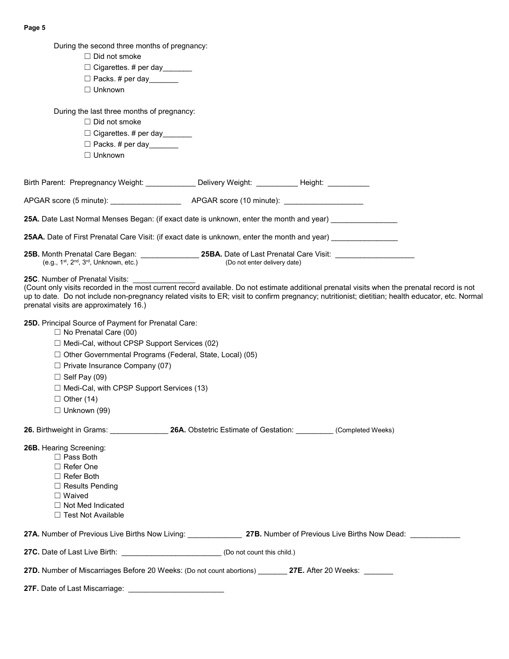| During the second three months of pregnancy:                                                                                                                                                                                                                                                                                                                                                                   |                              |                                                                                                                                                                                                                                                                                                  |
|----------------------------------------------------------------------------------------------------------------------------------------------------------------------------------------------------------------------------------------------------------------------------------------------------------------------------------------------------------------------------------------------------------------|------------------------------|--------------------------------------------------------------------------------------------------------------------------------------------------------------------------------------------------------------------------------------------------------------------------------------------------|
| $\Box$ Did not smoke                                                                                                                                                                                                                                                                                                                                                                                           |                              |                                                                                                                                                                                                                                                                                                  |
| □ Cigarettes. # per day                                                                                                                                                                                                                                                                                                                                                                                        |                              |                                                                                                                                                                                                                                                                                                  |
| $\Box$ Packs. # per day                                                                                                                                                                                                                                                                                                                                                                                        |                              |                                                                                                                                                                                                                                                                                                  |
| $\Box$ Unknown                                                                                                                                                                                                                                                                                                                                                                                                 |                              |                                                                                                                                                                                                                                                                                                  |
|                                                                                                                                                                                                                                                                                                                                                                                                                |                              |                                                                                                                                                                                                                                                                                                  |
| During the last three months of pregnancy:                                                                                                                                                                                                                                                                                                                                                                     |                              |                                                                                                                                                                                                                                                                                                  |
| $\Box$ Did not smoke                                                                                                                                                                                                                                                                                                                                                                                           |                              |                                                                                                                                                                                                                                                                                                  |
| $\Box$ Cigarettes. # per day                                                                                                                                                                                                                                                                                                                                                                                   |                              |                                                                                                                                                                                                                                                                                                  |
| □ Packs. # per day______                                                                                                                                                                                                                                                                                                                                                                                       |                              |                                                                                                                                                                                                                                                                                                  |
| $\Box$ Unknown                                                                                                                                                                                                                                                                                                                                                                                                 |                              |                                                                                                                                                                                                                                                                                                  |
| Birth Parent: Prepregnancy Weight: _____________ Delivery Weight: __________ Height: __________                                                                                                                                                                                                                                                                                                                |                              |                                                                                                                                                                                                                                                                                                  |
|                                                                                                                                                                                                                                                                                                                                                                                                                |                              |                                                                                                                                                                                                                                                                                                  |
| 25A. Date Last Normal Menses Began: (if exact date is unknown, enter the month and year)                                                                                                                                                                                                                                                                                                                       |                              |                                                                                                                                                                                                                                                                                                  |
|                                                                                                                                                                                                                                                                                                                                                                                                                |                              |                                                                                                                                                                                                                                                                                                  |
| 25AA. Date of First Prenatal Care Visit: (if exact date is unknown, enter the month and year) example and year                                                                                                                                                                                                                                                                                                 |                              |                                                                                                                                                                                                                                                                                                  |
| 25B. Month Prenatal Care Began: __________________ 25BA. Date of Last Prenatal Care Visit: __________<br>(e.g., 1st, 2 <sup>nd</sup> , 3 <sup>rd</sup> , Unknown, etc.)                                                                                                                                                                                                                                        | (Do not enter delivery date) |                                                                                                                                                                                                                                                                                                  |
| prenatal visits are approximately 16.)<br>25D. Principal Source of Payment for Prenatal Care:<br>$\Box$ No Prenatal Care (00)<br>□ Medi-Cal, without CPSP Support Services (02)<br>$\Box$ Other Governmental Programs (Federal, State, Local) (05)<br>$\Box$ Private Insurance Company (07)<br>$\Box$ Self Pay (09)<br>□ Medi-Cal, with CPSP Support Services (13)<br>$\Box$ Other (14)<br>$\Box$ Unknown (99) |                              | (Count only visits recorded in the most current record available. Do not estimate additional prenatal visits when the prenatal record is not<br>up to date. Do not include non-pregnancy related visits to ER; visit to confirm pregnancy; nutritionist; dietitian; health educator, etc. Normal |
| 26. Birthweight in Grams: ___________________26A. Obstetric Estimate of Gestation: __________(Completed Weeks)                                                                                                                                                                                                                                                                                                 |                              |                                                                                                                                                                                                                                                                                                  |
| 26B. Hearing Screening:<br>$\Box$ Pass Both<br>$\Box$ Refer One<br>$\Box$ Refer Both<br>$\Box$ Results Pending<br>$\Box$ Waived<br>$\Box$ Not Med Indicated<br>$\Box$ Test Not Available                                                                                                                                                                                                                       |                              |                                                                                                                                                                                                                                                                                                  |
|                                                                                                                                                                                                                                                                                                                                                                                                                |                              | 27A. Number of Previous Live Births Now Living: ___________________ 27B. Number of Previous Live Births Now Dead: ____________                                                                                                                                                                   |
| 27C. Date of Last Live Birth: ______________________________ (Do not count this child.)                                                                                                                                                                                                                                                                                                                        |                              |                                                                                                                                                                                                                                                                                                  |
| 27D. Number of Miscarriages Before 20 Weeks: (Do not count abortions) 27E. After 20 Weeks:                                                                                                                                                                                                                                                                                                                     |                              |                                                                                                                                                                                                                                                                                                  |
|                                                                                                                                                                                                                                                                                                                                                                                                                |                              |                                                                                                                                                                                                                                                                                                  |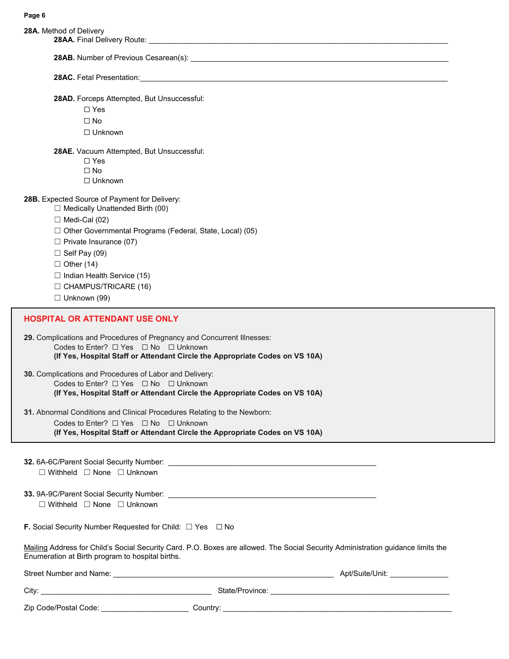| 28A. Method of Delivery                                                                                                                                                                                                                                                                                                                                |                                                                                                                                                                                                                                      |  |
|--------------------------------------------------------------------------------------------------------------------------------------------------------------------------------------------------------------------------------------------------------------------------------------------------------------------------------------------------------|--------------------------------------------------------------------------------------------------------------------------------------------------------------------------------------------------------------------------------------|--|
|                                                                                                                                                                                                                                                                                                                                                        |                                                                                                                                                                                                                                      |  |
|                                                                                                                                                                                                                                                                                                                                                        |                                                                                                                                                                                                                                      |  |
| 28AD. Forceps Attempted, But Unsuccessful:<br>$\Box$ Yes<br>$\Box$ No<br>$\Box$ Unknown                                                                                                                                                                                                                                                                |                                                                                                                                                                                                                                      |  |
| 28AE. Vacuum Attempted, But Unsuccessful:<br>$\Box$ Yes<br>$\Box$ No<br>$\Box$ Unknown                                                                                                                                                                                                                                                                 |                                                                                                                                                                                                                                      |  |
| 28B. Expected Source of Payment for Delivery:<br>$\Box$ Medically Unattended Birth (00)<br>$\Box$ Medi-Cal (02)<br>□ Other Governmental Programs (Federal, State, Local) (05)<br>$\Box$ Private Insurance (07)<br>$\Box$ Self Pay (09)<br>$\Box$ Other (14)<br>$\Box$ Indian Health Service (15)<br>$\Box$ CHAMPUS/TRICARE (16)<br>$\Box$ Unknown (99) |                                                                                                                                                                                                                                      |  |
| HOSPITAL OR ATTENDANT USE ONLY                                                                                                                                                                                                                                                                                                                         |                                                                                                                                                                                                                                      |  |
| 29. Complications and Procedures of Pregnancy and Concurrent Illnesses:<br>Codes to Enter? □ Yes □ No □ Unknown                                                                                                                                                                                                                                        | (If Yes, Hospital Staff or Attendant Circle the Appropriate Codes on VS 10A)                                                                                                                                                         |  |
| 30. Complications and Procedures of Labor and Delivery:<br>Codes to Enter? $\Box$ Yes $\Box$ No $\Box$ Unknown                                                                                                                                                                                                                                         | (If Yes, Hospital Staff or Attendant Circle the Appropriate Codes on VS 10A)                                                                                                                                                         |  |
| 31. Abnormal Conditions and Clinical Procedures Relating to the Newborn:<br>Codes to Enter? $\Box$ Yes $\Box$ No $\Box$ Unknown                                                                                                                                                                                                                        | (If Yes, Hospital Staff or Attendant Circle the Appropriate Codes on VS 10A)                                                                                                                                                         |  |
| $\Box$ Withheld $\Box$ None $\Box$ Unknown                                                                                                                                                                                                                                                                                                             |                                                                                                                                                                                                                                      |  |
| $\Box$ Withheld $\Box$ None $\Box$ Unknown                                                                                                                                                                                                                                                                                                             |                                                                                                                                                                                                                                      |  |
| <b>F.</b> Social Security Number Requested for Child: $\Box$ Yes $\Box$ No                                                                                                                                                                                                                                                                             |                                                                                                                                                                                                                                      |  |
| Mailing Address for Child's Social Security Card. P.O. Boxes are allowed. The Social Security Administration guidance limits the<br>Enumeration at Birth program to hospital births.                                                                                                                                                                   |                                                                                                                                                                                                                                      |  |
|                                                                                                                                                                                                                                                                                                                                                        |                                                                                                                                                                                                                                      |  |
|                                                                                                                                                                                                                                                                                                                                                        |                                                                                                                                                                                                                                      |  |
| Zip Code/Postal Code: _______________________                                                                                                                                                                                                                                                                                                          | Country: <u>Country: Country: Country: Country: Country: Country: Country: Country: Country: Country: Country: Country: Country: Country: Country: Country: Country: Country: Country: Country: Country: Country: Country: Count</u> |  |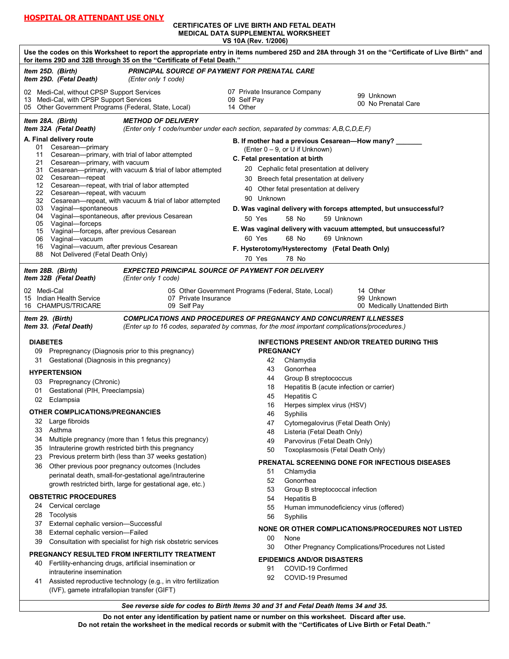#### **CERTIFICATES OF LIVE BIRTH AND FETAL DEATH MEDICAL DATA SUPPLEMENTAL WORKSHEET VS 10A (Rev. 1/2006)**

| Use the codes on this Worksheet to report the appropriate entry in items numbered 25D and 28A through 31 on the "Certificate of Live Birth" and<br>for items 29D and 32B through 35 on the "Certificate of Fetal Death." |                                                                                                 |  |
|--------------------------------------------------------------------------------------------------------------------------------------------------------------------------------------------------------------------------|-------------------------------------------------------------------------------------------------|--|
| Item 25D. (Birth)<br><b>PRINCIPAL SOURCE OF PAYMENT FOR PRENATAL CARE</b><br>Item 29D. (Fetal Death)<br>(Enter only 1 code)                                                                                              |                                                                                                 |  |
| 02 Medi-Cal, without CPSP Support Services                                                                                                                                                                               | 07 Private Insurance Company<br>99 Unknown                                                      |  |
| Medi-Cal, with CPSP Support Services<br>13<br>05 Other Government Programs (Federal, State, Local)                                                                                                                       | 09 Self Pay<br>00 No Prenatal Care<br>14 Other                                                  |  |
| Item 28A. (Birth)<br><b>METHOD OF DELIVERY</b><br>Item 32A (Fetal Death)                                                                                                                                                 | (Enter only 1 code/number under each section, separated by commas: A,B,C,D,E,F)                 |  |
| A. Final delivery route                                                                                                                                                                                                  | B. If mother had a previous Cesarean-How many? _                                                |  |
| Cesarean-primary<br>01<br>Cesarean-primary, with trial of labor attempted<br>11                                                                                                                                          | (Enter $0 - 9$ , or U if Unknown)                                                               |  |
| 21 Cesarean-primary, with vacuum                                                                                                                                                                                         | C. Fetal presentation at birth                                                                  |  |
| 31 Cesarean-primary, with vacuum & trial of labor attempted<br>02 Cesarean-repeat                                                                                                                                        | 20 Cephalic fetal presentation at delivery<br>Breech fetal presentation at delivery<br>30       |  |
| 12 Cesarean-repeat, with trial of labor attempted                                                                                                                                                                        | 40 Other fetal presentation at delivery                                                         |  |
| 22 Cesarean-repeat, with vacuum<br>32 Cesarean-repeat, with vacuum & trial of labor attempted                                                                                                                            | 90 Unknown                                                                                      |  |
| 03 Vaginal-spontaneous                                                                                                                                                                                                   | D. Was vaginal delivery with forceps attempted, but unsuccessful?                               |  |
| 04 Vaginal-spontaneous, after previous Cesarean<br>05 Vaginal-forceps                                                                                                                                                    | 50 Yes<br>58 No<br>59 Unknown                                                                   |  |
| 15 Vaginal-forceps, after previous Cesarean                                                                                                                                                                              | E. Was vaginal delivery with vacuum attempted, but unsuccessful?                                |  |
| Vaginal-vacuum<br>06<br>Vaginal-vacuum, after previous Cesarean<br>16                                                                                                                                                    | 60 Yes<br>68 No<br>69 Unknown                                                                   |  |
| Not Delivered (Fetal Death Only)<br>88                                                                                                                                                                                   | F. Hysterotomy/Hysterectomy (Fetal Death Only)                                                  |  |
|                                                                                                                                                                                                                          | 70 Yes<br>78 No                                                                                 |  |
| <b>EXPECTED PRINCIPAL SOURCE OF PAYMENT FOR DELIVERY</b><br>Item 28B. (Birth)<br>Item 32B (Fetal Death)<br>(Enter only 1 code)                                                                                           |                                                                                                 |  |
| 02 Medi-Cal                                                                                                                                                                                                              | 05 Other Government Programs (Federal, State, Local)<br>14 Other                                |  |
| 07 Private Insurance<br>15 Indian Health Service<br>16 CHAMPUS/TRICARE<br>09 Self Pay                                                                                                                                    | 99 Unknown<br>00 Medically Unattended Birth                                                     |  |
| Item 29. (Birth)                                                                                                                                                                                                         | <b>COMPLICATIONS AND PROCEDURES OF PREGNANCY AND CONCURRENT ILLNESSES</b>                       |  |
| Item 33. (Fetal Death)                                                                                                                                                                                                   | (Enter up to 16 codes, separated by commas, for the most important complications/procedures.)   |  |
| <b>DIABETES</b>                                                                                                                                                                                                          | <b>INFECTIONS PRESENT AND/OR TREATED DURING THIS</b>                                            |  |
| 09 Prepregnancy (Diagnosis prior to this pregnancy)                                                                                                                                                                      | <b>PREGNANCY</b>                                                                                |  |
| Gestational (Diagnosis in this pregnancy)<br>31                                                                                                                                                                          | 42<br>Chlamydia                                                                                 |  |
| <b>HYPERTENSION</b>                                                                                                                                                                                                      | Gonorrhea<br>43                                                                                 |  |
| 03 Prepregnancy (Chronic)                                                                                                                                                                                                | 44<br>Group B streptococcus<br>Hepatitis B (acute infection or carrier)<br>18                   |  |
| Gestational (PIH, Preeclampsia)<br>01<br>02 Eclampsia                                                                                                                                                                    | 45<br><b>Hepatitis C</b>                                                                        |  |
|                                                                                                                                                                                                                          | Herpes simplex virus (HSV)<br>16                                                                |  |
| <b>OTHER COMPLICATIONS/PREGNANCIES</b><br>Large fibroids<br>32                                                                                                                                                           | 46<br>Syphilis                                                                                  |  |
| Asthma<br>33                                                                                                                                                                                                             | Cytomegalovirus (Fetal Death Only)<br>47<br>Listeria (Fetal Death Only)<br>48                   |  |
| Multiple pregnancy (more than 1 fetus this pregnancy)<br>34                                                                                                                                                              | 49<br>Parvovirus (Fetal Death Only)                                                             |  |
| Intrauterine growth restricted birth this pregnancy<br>35<br>Previous preterm birth (less than 37 weeks gestation)                                                                                                       | 50<br>Toxoplasmosis (Fetal Death Only)                                                          |  |
| 23<br>Other previous poor pregnancy outcomes (Includes<br>36                                                                                                                                                             | <b>PRENATAL SCREENING DONE FOR INFECTIOUS DISEASES</b>                                          |  |
| perinatal death, small-for-gestational age/intrauterine                                                                                                                                                                  | 51<br>Chlamydia                                                                                 |  |
| growth restricted birth, large for gestational age, etc.)                                                                                                                                                                | Gonorrhea<br>52<br>53<br>Group B streptococcal infection                                        |  |
| <b>OBSTETRIC PROCEDURES</b>                                                                                                                                                                                              | <b>Hepatitis B</b><br>54                                                                        |  |
| Cervical cerclage<br>24                                                                                                                                                                                                  | 55<br>Human immunodeficiency virus (offered)                                                    |  |
| 28<br>Tocolysis<br>External cephalic version-Successful<br>37                                                                                                                                                            | 56<br>Syphilis                                                                                  |  |
| External cephalic version-Failed<br>38                                                                                                                                                                                   | NONE OR OTHER COMPLICATIONS/PROCEDURES NOT LISTED                                               |  |
| Consultation with specialist for high risk obstetric services<br>39                                                                                                                                                      | 00<br>None<br>30<br>Other Pregnancy Complications/Procedures not Listed                         |  |
| PREGNANCY RESULTED FROM INFERTILITY TREATMENT                                                                                                                                                                            |                                                                                                 |  |
| Fertility-enhancing drugs, artificial insemination or<br>40                                                                                                                                                              | <b>EPIDEMICS AND/OR DISASTERS</b><br>COVID-19 Confirmed<br>91                                   |  |
| intrauterine insemination<br>Assisted reproductive technology (e.g., in vitro fertilization<br>41                                                                                                                        | 92<br>COVID-19 Presumed                                                                         |  |
| (IVF), gamete intrafallopian transfer (GIFT)                                                                                                                                                                             |                                                                                                 |  |
| See reverse side for codes to Birth Items 30 and 31 and Fetal Death Items 34 and 35.                                                                                                                                     |                                                                                                 |  |
|                                                                                                                                                                                                                          | Do not enter any identification by patient name or number on this worksheet. Discard after use. |  |

**Do not retain the worksheet in the medical records or submit with the "Certificates of Live Birth or Fetal Death."**